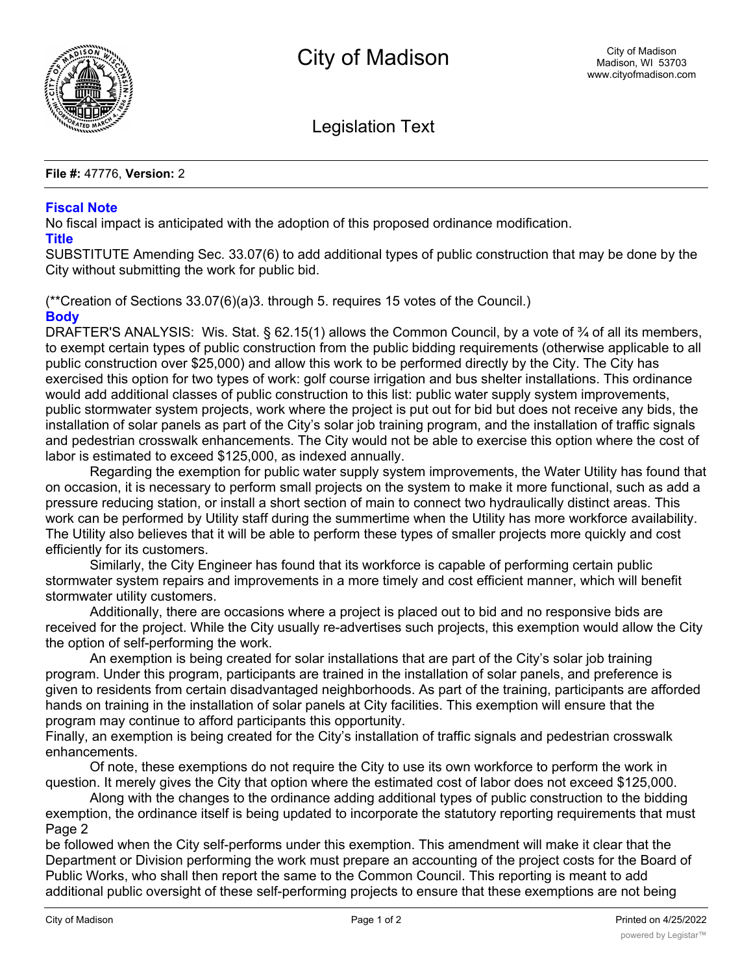

Legislation Text

## **File #:** 47776, **Version:** 2

## **Fiscal Note**

No fiscal impact is anticipated with the adoption of this proposed ordinance modification. **Title**

SUBSTITUTE Amending Sec. 33.07(6) to add additional types of public construction that may be done by the City without submitting the work for public bid.

(\*\*Creation of Sections 33.07(6)(a)3. through 5. requires 15 votes of the Council.) **Body**

DRAFTER'S ANALYSIS: Wis. Stat. § 62.15(1) allows the Common Council, by a vote of <sup>3</sup>/4 of all its members, to exempt certain types of public construction from the public bidding requirements (otherwise applicable to all public construction over \$25,000) and allow this work to be performed directly by the City. The City has exercised this option for two types of work: golf course irrigation and bus shelter installations. This ordinance would add additional classes of public construction to this list: public water supply system improvements, public stormwater system projects, work where the project is put out for bid but does not receive any bids, the installation of solar panels as part of the City's solar job training program, and the installation of traffic signals and pedestrian crosswalk enhancements. The City would not be able to exercise this option where the cost of labor is estimated to exceed \$125,000, as indexed annually.

Regarding the exemption for public water supply system improvements, the Water Utility has found that on occasion, it is necessary to perform small projects on the system to make it more functional, such as add a pressure reducing station, or install a short section of main to connect two hydraulically distinct areas. This work can be performed by Utility staff during the summertime when the Utility has more workforce availability. The Utility also believes that it will be able to perform these types of smaller projects more quickly and cost efficiently for its customers.

Similarly, the City Engineer has found that its workforce is capable of performing certain public stormwater system repairs and improvements in a more timely and cost efficient manner, which will benefit stormwater utility customers.

Additionally, there are occasions where a project is placed out to bid and no responsive bids are received for the project. While the City usually re-advertises such projects, this exemption would allow the City the option of self-performing the work.

An exemption is being created for solar installations that are part of the City's solar job training program. Under this program, participants are trained in the installation of solar panels, and preference is given to residents from certain disadvantaged neighborhoods. As part of the training, participants are afforded hands on training in the installation of solar panels at City facilities. This exemption will ensure that the program may continue to afford participants this opportunity.

Finally, an exemption is being created for the City's installation of traffic signals and pedestrian crosswalk enhancements.

Of note, these exemptions do not require the City to use its own workforce to perform the work in question. It merely gives the City that option where the estimated cost of labor does not exceed \$125,000.

Along with the changes to the ordinance adding additional types of public construction to the bidding exemption, the ordinance itself is being updated to incorporate the statutory reporting requirements that must Page 2

be followed when the City self-performs under this exemption. This amendment will make it clear that the Department or Division performing the work must prepare an accounting of the project costs for the Board of Public Works, who shall then report the same to the Common Council. This reporting is meant to add additional public oversight of these self-performing projects to ensure that these exemptions are not being